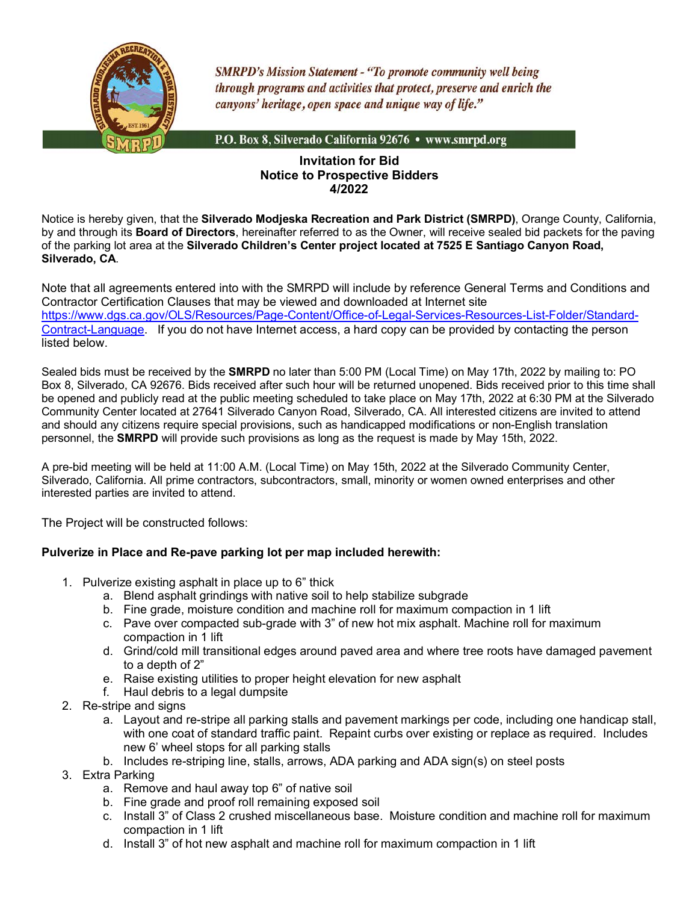

**SMRPD's Mission Statement - "To promote community well being** through programs and activities that protect, preserve and enrich the canyons' heritage, open space and unique way of life."

P.O. Box 8, Silverado California 92676 • www.smrpd.org

## **Invitation for Bid Notice to Prospective Bidders 4/2022**

Notice is hereby given, that the **Silverado Modjeska Recreation and Park District (SMRPD)**, Orange County, California, by and through its **Board of Directors**, hereinafter referred to as the Owner, will receive sealed bid packets for the paving of the parking lot area at the **Silverado Children's Center project located at 7525 E Santiago Canyon Road, Silverado, CA**.

Note that all agreements entered into with the SMRPD will include by reference General Terms and Conditions and Contractor Certification Clauses that may be viewed and downloaded at Internet site https://www.dgs.ca.gov/OLS/Resources/Page-Content/Office-of-Legal-Services-Resources-List-Folder/Standard-Contract-Language. If you do not have Internet access, a hard copy can be provided by contacting the person listed below.

Sealed bids must be received by the **SMRPD** no later than 5:00 PM (Local Time) on May 17th, 2022 by mailing to: PO Box 8, Silverado, CA 92676. Bids received after such hour will be returned unopened. Bids received prior to this time shall be opened and publicly read at the public meeting scheduled to take place on May 17th, 2022 at 6:30 PM at the Silverado Community Center located at 27641 Silverado Canyon Road, Silverado, CA. All interested citizens are invited to attend and should any citizens require special provisions, such as handicapped modifications or non-English translation personnel, the **SMRPD** will provide such provisions as long as the request is made by May 15th, 2022.

A pre-bid meeting will be held at 11:00 A.M. (Local Time) on May 15th, 2022 at the Silverado Community Center, Silverado, California. All prime contractors, subcontractors, small, minority or women owned enterprises and other interested parties are invited to attend.

The Project will be constructed follows:

## **Pulverize in Place and Re-pave parking lot per map included herewith:**

- 1. Pulverize existing asphalt in place up to 6" thick
	- a. Blend asphalt grindings with native soil to help stabilize subgrade
	- b. Fine grade, moisture condition and machine roll for maximum compaction in 1 lift
	- c. Pave over compacted sub-grade with 3" of new hot mix asphalt. Machine roll for maximum compaction in 1 lift
	- d. Grind/cold mill transitional edges around paved area and where tree roots have damaged pavement to a depth of 2"
	- e. Raise existing utilities to proper height elevation for new asphalt
	- f. Haul debris to a legal dumpsite
- 2. Re-stripe and signs
	- a. Layout and re-stripe all parking stalls and pavement markings per code, including one handicap stall, with one coat of standard traffic paint. Repaint curbs over existing or replace as required. Includes new 6' wheel stops for all parking stalls
	- b. Includes re-striping line, stalls, arrows, ADA parking and ADA sign(s) on steel posts
- 3. Extra Parking
	- a. Remove and haul away top 6" of native soil
	- b. Fine grade and proof roll remaining exposed soil
	- c. Install 3" of Class 2 crushed miscellaneous base. Moisture condition and machine roll for maximum compaction in 1 lift
	- d. Install 3" of hot new asphalt and machine roll for maximum compaction in 1 lift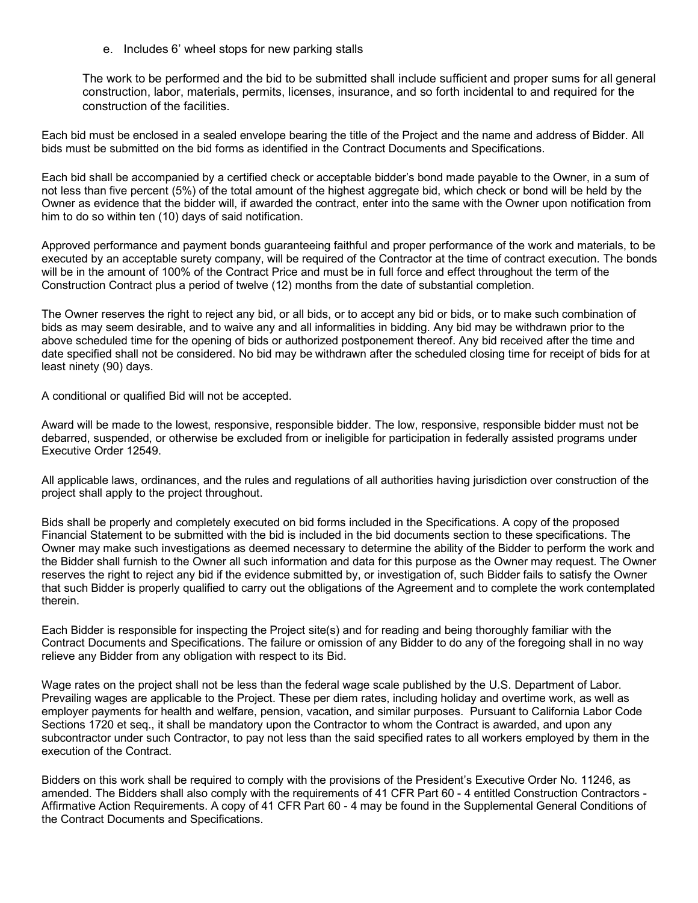e. Includes 6' wheel stops for new parking stalls

The work to be performed and the bid to be submitted shall include sufficient and proper sums for all general construction, labor, materials, permits, licenses, insurance, and so forth incidental to and required for the construction of the facilities.

Each bid must be enclosed in a sealed envelope bearing the title of the Project and the name and address of Bidder. All bids must be submitted on the bid forms as identified in the Contract Documents and Specifications.

Each bid shall be accompanied by a certified check or acceptable bidder's bond made payable to the Owner, in a sum of not less than five percent (5%) of the total amount of the highest aggregate bid, which check or bond will be held by the Owner as evidence that the bidder will, if awarded the contract, enter into the same with the Owner upon notification from him to do so within ten (10) days of said notification.

Approved performance and payment bonds guaranteeing faithful and proper performance of the work and materials, to be executed by an acceptable surety company, will be required of the Contractor at the time of contract execution. The bonds will be in the amount of 100% of the Contract Price and must be in full force and effect throughout the term of the Construction Contract plus a period of twelve (12) months from the date of substantial completion.

The Owner reserves the right to reject any bid, or all bids, or to accept any bid or bids, or to make such combination of bids as may seem desirable, and to waive any and all informalities in bidding. Any bid may be withdrawn prior to the above scheduled time for the opening of bids or authorized postponement thereof. Any bid received after the time and date specified shall not be considered. No bid may be withdrawn after the scheduled closing time for receipt of bids for at least ninety (90) days.

A conditional or qualified Bid will not be accepted.

Award will be made to the lowest, responsive, responsible bidder. The low, responsive, responsible bidder must not be debarred, suspended, or otherwise be excluded from or ineligible for participation in federally assisted programs under Executive Order 12549.

All applicable laws, ordinances, and the rules and regulations of all authorities having jurisdiction over construction of the project shall apply to the project throughout.

Bids shall be properly and completely executed on bid forms included in the Specifications. A copy of the proposed Financial Statement to be submitted with the bid is included in the bid documents section to these specifications. The Owner may make such investigations as deemed necessary to determine the ability of the Bidder to perform the work and the Bidder shall furnish to the Owner all such information and data for this purpose as the Owner may request. The Owner reserves the right to reject any bid if the evidence submitted by, or investigation of, such Bidder fails to satisfy the Owner that such Bidder is properly qualified to carry out the obligations of the Agreement and to complete the work contemplated therein.

Each Bidder is responsible for inspecting the Project site(s) and for reading and being thoroughly familiar with the Contract Documents and Specifications. The failure or omission of any Bidder to do any of the foregoing shall in no way relieve any Bidder from any obligation with respect to its Bid.

Wage rates on the project shall not be less than the federal wage scale published by the U.S. Department of Labor. Prevailing wages are applicable to the Project. These per diem rates, including holiday and overtime work, as well as employer payments for health and welfare, pension, vacation, and similar purposes. Pursuant to California Labor Code Sections 1720 et seq., it shall be mandatory upon the Contractor to whom the Contract is awarded, and upon any subcontractor under such Contractor, to pay not less than the said specified rates to all workers employed by them in the execution of the Contract.

Bidders on this work shall be required to comply with the provisions of the President's Executive Order No. 11246, as amended. The Bidders shall also comply with the requirements of 41 CFR Part 60 - 4 entitled Construction Contractors - Affirmative Action Requirements. A copy of 41 CFR Part 60 - 4 may be found in the Supplemental General Conditions of the Contract Documents and Specifications.